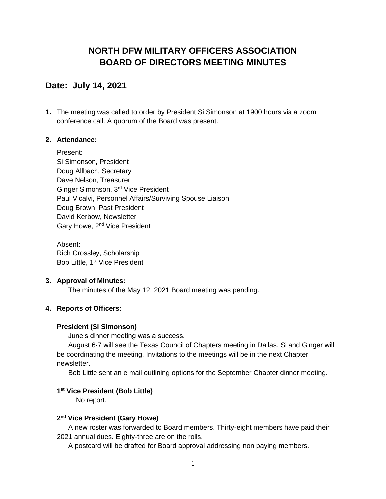# **NORTH DFW MILITARY OFFICERS ASSOCIATION BOARD OF DIRECTORS MEETING MINUTES**

## **Date: July 14, 2021**

**1.** The meeting was called to order by President Si Simonson at 1900 hours via a zoom conference call. A quorum of the Board was present.

## **2. Attendance:**

Present: Si Simonson, President Doug Allbach, Secretary Dave Nelson, Treasurer Ginger Simonson, 3rd Vice President Paul Vicalvi, Personnel Affairs/Surviving Spouse Liaison Doug Brown, Past President David Kerbow, Newsletter Gary Howe, 2<sup>nd</sup> Vice President

Absent: Rich Crossley, Scholarship Bob Little, 1<sup>st</sup> Vice President

#### **3. Approval of Minutes:**

The minutes of the May 12, 2021 Board meeting was pending.

## **4. Reports of Officers:**

#### **President (Si Simonson)**

June's dinner meeting was a success.

August 6-7 will see the Texas Council of Chapters meeting in Dallas. Si and Ginger will be coordinating the meeting. Invitations to the meetings will be in the next Chapter newsletter.

Bob Little sent an e mail outlining options for the September Chapter dinner meeting.

## **1 st Vice President (Bob Little)**

No report.

#### **2 nd Vice President (Gary Howe)**

A new roster was forwarded to Board members. Thirty-eight members have paid their 2021 annual dues. Eighty-three are on the rolls.

A postcard will be drafted for Board approval addressing non paying members.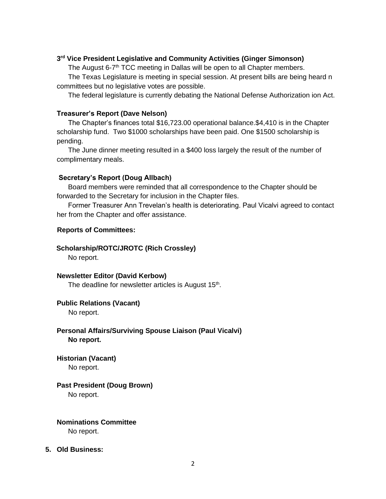#### **3 rd Vice President Legislative and Community Activities (Ginger Simonson)**

The August 6-7<sup>th</sup> TCC meeting in Dallas will be open to all Chapter members.

The Texas Legislature is meeting in special session. At present bills are being heard n committees but no legislative votes are possible.

The federal legislature is currently debating the National Defense Authorization ion Act.

#### **Treasurer's Report (Dave Nelson)**

The Chapter's finances total \$16,723.00 operational balance.\$4,410 is in the Chapter scholarship fund. Two \$1000 scholarships have been paid. One \$1500 scholarship is pending.

The June dinner meeting resulted in a \$400 loss largely the result of the number of complimentary meals.

#### **Secretary's Report (Doug Allbach)**

Board members were reminded that all correspondence to the Chapter should be forwarded to the Secretary for inclusion in the Chapter files.

Former Treasurer Ann Trevelan's health is deteriorating. Paul Vicalvi agreed to contact her from the Chapter and offer assistance.

#### **Reports of Committees:**

#### **Scholarship/ROTC/JROTC (Rich Crossley)**

No report.

**Newsletter Editor (David Kerbow)** The deadline for newsletter articles is August 15<sup>th</sup>.

## **Public Relations (Vacant)**

No report.

## **Personal Affairs/Surviving Spouse Liaison (Paul Vicalvi) No report.**

**Historian (Vacant)**

No report.

## **Past President (Doug Brown)**

No report.

#### **Nominations Committee**

No report.

#### **5. Old Business:**